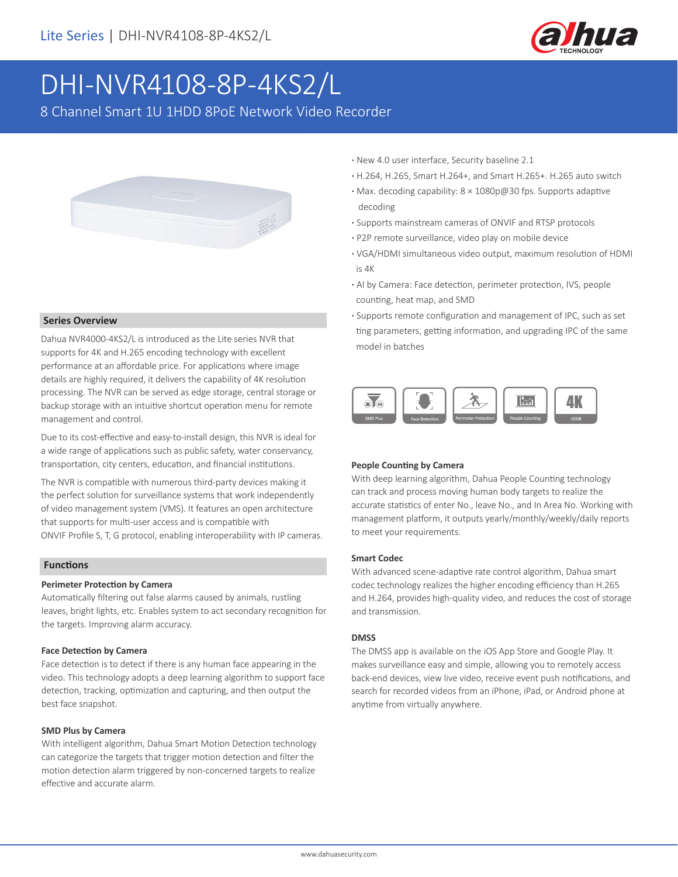

# DHI-NVR4108-8P-4KS2/L

8 Channel Smart 1U 1HDD 8PoE Network Video Recorder



#### **Series Overview**

Dahua NVR4000-4KS2/L is introduced as the Lite series NVR that supports for 4K and H.265 encoding technology with excellent performance at an affordable price. For applications where image details are highly required, it delivers the capability of 4K resolution processing. The NVR can be served as edge storage, central storage or backup storage with an intuitive shortcut operation menu for remote management and control.

Due to its cost-effective and easy-to-install design, this NVR is ideal for a wide range of applications such as public safety, water conservancy, transportation, city centers, education, and financial institutions.

The NVR is compatible with numerous third-party devices making it the perfect solution for surveillance systems that work independently of video management system (VMS). It features an open architecture that supports for multi-user access and is compatible with ONVIF Profile S, T, G protocol, enabling interoperability with IP cameras.

#### **Functions**

#### **Perimeter Protection by Camera**

Automatically filtering out false alarms caused by animals, rustling leaves, bright lights, etc. Enables system to act secondary recognition for the targets. Improving alarm accuracy.

#### **Face Detection by Camera**

Face detection is to detect if there is any human face appearing in the video. This technology adopts a deep learning algorithm to support face detection, tracking, optimization and capturing, and then output the best face snapshot.

#### **SMD Plus by Camera**

With intelligent algorithm, Dahua Smart Motion Detection technology can categorize the targets that trigger motion detection and filter the motion detection alarm triggered by non-concerned targets to realize effective and accurate alarm.

- **·** New 4.0 user interface, Security baseline 2.1
- **·** H.264, H.265, Smart H.264+, and Smart H.265+. H.265 auto switch
- **·** Max. decoding capability: 8 × 1080p@30 fps. Supports adaptive decoding
- **·** Supports mainstream cameras of ONVIF and RTSP protocols
- **·** P2P remote surveillance, video play on mobile device
- **·** VGA/HDMI simultaneous video output, maximum resolution of HDMI is 4K
- **·** AI by Camera: Face detection, perimeter protection, IVS, people counting, heat map, and SMD
- **·** Supports remote configuration and management of IPC, such as set ting parameters, getting information, and upgrading IPC of the same model in batches



#### **People Counting by Camera**

With deep learning algorithm, Dahua People Counting technology can track and process moving human body targets to realize the accurate statistics of enter No., leave No., and In Area No. Working with management platform, it outputs yearly/monthly/weekly/daily reports to meet your requirements.

#### **Smart Codec**

With advanced scene-adaptive rate control algorithm, Dahua smart codec technology realizes the higher encoding efficiency than H.265 and H.264, provides high-quality video, and reduces the cost of storage and transmission.

#### **DMSS**

The DMSS app is available on the iOS App Store and Google Play. It makes surveillance easy and simple, allowing you to remotely access back-end devices, view live video, receive event push notifications, and search for recorded videos from an iPhone, iPad, or Android phone at anytime from virtually anywhere.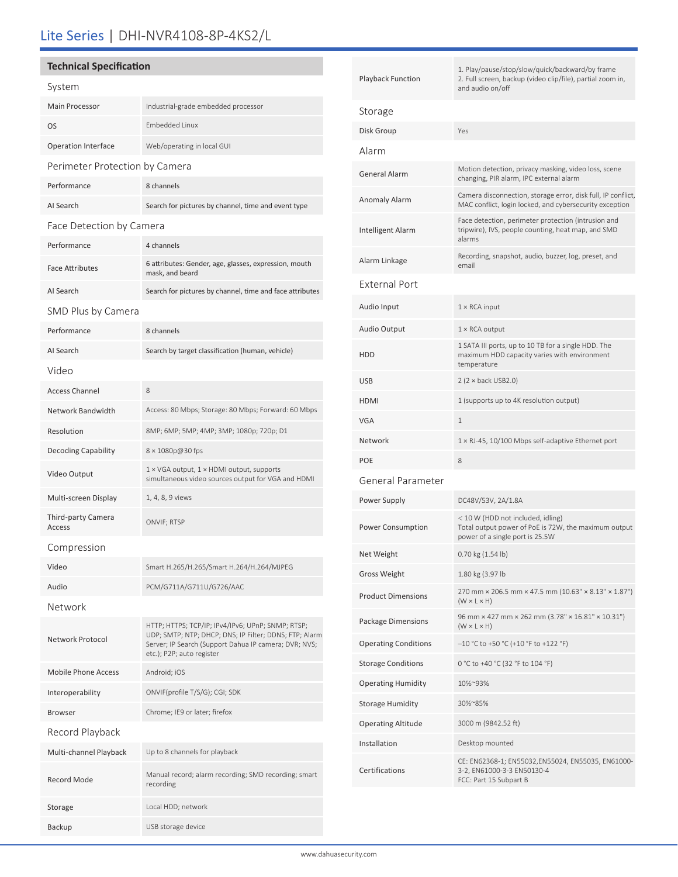## Lite Series | DHI-NVR4108-8P-4KS2/L

### **Technical Specification**

| System                         |                                                                                                                                                                                                   |  |  |  |
|--------------------------------|---------------------------------------------------------------------------------------------------------------------------------------------------------------------------------------------------|--|--|--|
| Main Processor                 | Industrial-grade embedded processor                                                                                                                                                               |  |  |  |
| <b>OS</b>                      | <b>Embedded Linux</b>                                                                                                                                                                             |  |  |  |
| <b>Operation Interface</b>     | Web/operating in local GUI                                                                                                                                                                        |  |  |  |
| Perimeter Protection by Camera |                                                                                                                                                                                                   |  |  |  |
| Performance                    | 8 channels                                                                                                                                                                                        |  |  |  |
| AI Search                      | Search for pictures by channel, time and event type                                                                                                                                               |  |  |  |
| Face Detection by Camera       |                                                                                                                                                                                                   |  |  |  |
| Performance                    | 4 channels                                                                                                                                                                                        |  |  |  |
| <b>Face Attributes</b>         | 6 attributes: Gender, age, glasses, expression, mouth<br>mask, and beard                                                                                                                          |  |  |  |
| AI Search                      | Search for pictures by channel, time and face attributes                                                                                                                                          |  |  |  |
| SMD Plus by Camera             |                                                                                                                                                                                                   |  |  |  |
| Performance                    | 8 channels                                                                                                                                                                                        |  |  |  |
| AI Search                      | Search by target classification (human, vehicle)                                                                                                                                                  |  |  |  |
| Video                          |                                                                                                                                                                                                   |  |  |  |
| <b>Access Channel</b>          | 8                                                                                                                                                                                                 |  |  |  |
| Network Bandwidth              | Access: 80 Mbps; Storage: 80 Mbps; Forward: 60 Mbps                                                                                                                                               |  |  |  |
| Resolution                     | 8MP; 6MP; 5MP; 4MP; 3MP; 1080p; 720p; D1                                                                                                                                                          |  |  |  |
| <b>Decoding Capability</b>     | 8 × 1080p@30 fps                                                                                                                                                                                  |  |  |  |
| Video Output                   | 1 × VGA output, 1 × HDMI output, supports<br>simultaneous video sources output for VGA and HDMI                                                                                                   |  |  |  |
| Multi-screen Display           | 1, 4, 8, 9 views                                                                                                                                                                                  |  |  |  |
| Third-party Camera<br>Access   | ONVIF; RTSP                                                                                                                                                                                       |  |  |  |
| Compression                    |                                                                                                                                                                                                   |  |  |  |
| Video                          | Smart H.265/H.265/Smart H.264/H.264/MJPEG                                                                                                                                                         |  |  |  |
| Audio                          | PCM/G711A/G711U/G726/AAC                                                                                                                                                                          |  |  |  |
| Network                        |                                                                                                                                                                                                   |  |  |  |
| Network Protocol               | HTTP; HTTPS; TCP/IP; IPv4/IPv6; UPnP; SNMP; RTSP;<br>UDP; SMTP; NTP; DHCP; DNS; IP Filter; DDNS; FTP; Alarm<br>Server; IP Search (Support Dahua IP camera; DVR; NVS;<br>etc.); P2P; auto register |  |  |  |
| Mobile Phone Access            | Android; iOS                                                                                                                                                                                      |  |  |  |
| Interoperability               | ONVIF(profile T/S/G); CGI; SDK                                                                                                                                                                    |  |  |  |
| <b>Browser</b>                 | Chrome; IE9 or later; firefox                                                                                                                                                                     |  |  |  |
| Record Playback                |                                                                                                                                                                                                   |  |  |  |
| Multi-channel Playback         | Up to 8 channels for playback                                                                                                                                                                     |  |  |  |
| Record Mode                    | Manual record; alarm recording; SMD recording; smart<br>recording                                                                                                                                 |  |  |  |
| Storage                        | Local HDD; network                                                                                                                                                                                |  |  |  |

Backup USB storage device

| <b>Playback Function</b>    | 1. Play/pause/stop/slow/quick/backward/by frame<br>2. Full screen, backup (video clip/file), partial zoom in,<br>and audio on/off |  |
|-----------------------------|-----------------------------------------------------------------------------------------------------------------------------------|--|
| Storage                     |                                                                                                                                   |  |
| Disk Group                  | Yes                                                                                                                               |  |
| Alarm                       |                                                                                                                                   |  |
| <b>General Alarm</b>        | Motion detection, privacy masking, video loss, scene<br>changing, PIR alarm, IPC external alarm                                   |  |
| <b>Anomaly Alarm</b>        | Camera disconnection, storage error, disk full, IP conflict,<br>MAC conflict, login locked, and cybersecurity exception           |  |
| <b>Intelligent Alarm</b>    | Face detection, perimeter protection (intrusion and<br>tripwire), IVS, people counting, heat map, and SMD<br>alarms               |  |
| Alarm Linkage               | Recording, snapshot, audio, buzzer, log, preset, and<br>email                                                                     |  |
| <b>External Port</b>        |                                                                                                                                   |  |
| Audio Input                 | $1 \times$ RCA input                                                                                                              |  |
| <b>Audio Output</b>         | $1 \times$ RCA output                                                                                                             |  |
| <b>HDD</b>                  | 1 SATA III ports, up to 10 TB for a single HDD. The<br>maximum HDD capacity varies with environment<br>temperature                |  |
| <b>USB</b>                  | $2 (2 \times back \cup SB2.0)$                                                                                                    |  |
| <b>HDMI</b>                 | 1 (supports up to 4K resolution output)                                                                                           |  |
| VGA                         | 1                                                                                                                                 |  |
| Network                     | 1 × RJ-45, 10/100 Mbps self-adaptive Ethernet port                                                                                |  |
| <b>POE</b>                  | 8                                                                                                                                 |  |
| General Parameter           |                                                                                                                                   |  |
| Power Supply                | DC48V/53V, 2A/1.8A                                                                                                                |  |
| Power Consumption           | < 10 W (HDD not included, idling)<br>Total output power of PoE is 72W, the maximum output<br>power of a single port is 25.5W      |  |
| Net Weight                  | 0.70 kg (1.54 lb)                                                                                                                 |  |
| <b>Gross Weight</b>         | 1.80 kg (3.97 lb                                                                                                                  |  |
| <b>Product Dimensions</b>   | 270 mm × 206.5 mm × 47.5 mm (10.63" × 8.13" × 1.87")<br>$(W \times L \times H)$                                                   |  |
| Package Dimensions          | 96 mm × 427 mm × 262 mm (3.78" × 16.81" × 10.31")<br>$(W \times L \times H)$                                                      |  |
| <b>Operating Conditions</b> | $-10$ °C to +50 °C (+10 °F to +122 °F)                                                                                            |  |
| <b>Storage Conditions</b>   | 0 °C to +40 °C (32 °F to 104 °F)                                                                                                  |  |
| <b>Operating Humidity</b>   | 10%~93%                                                                                                                           |  |
| <b>Storage Humidity</b>     | 30%~85%                                                                                                                           |  |
| <b>Operating Altitude</b>   | 3000 m (9842.52 ft)                                                                                                               |  |
| Installation                | Desktop mounted                                                                                                                   |  |
| Certifications              | CE: EN62368-1; EN55032,EN55024, EN55035, EN61000-<br>3-2, EN61000-3-3 EN50130-4<br>FCC: Part 15 Subpart B                         |  |